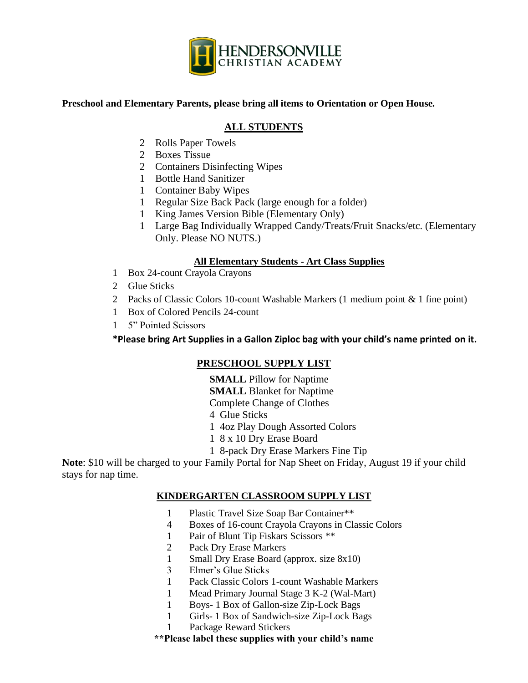

### **Preschool and Elementary Parents, please bring all items to Orientation or Open House.**

# **ALL STUDENTS**

- 2 Rolls Paper Towels
- 2 Boxes Tissue
- 2 Containers Disinfecting Wipes
- 1 Bottle Hand Sanitizer
- 1 Container Baby Wipes
- 1 Regular Size Back Pack (large enough for a folder)
- 1 King James Version Bible (Elementary Only)
- 1 Large Bag Individually Wrapped Candy/Treats/Fruit Snacks/etc. (Elementary Only. Please NO NUTS.)

### **All Elementary Students - Art Class Supplies**

- 1 Box 24-count Crayola Crayons
- 2 Glue Sticks
- 2 Packs of Classic Colors 10-count Washable Markers (1 medium point & 1 fine point)
- 1 Box of Colored Pencils 24-count
- 1 5" Pointed Scissors

**\*Please bring Art Supplies in a Gallon Ziploc bag with your child's name printed on it.**

# **PRESCHOOL SUPPLY LIST**

**SMALL** Pillow for Naptime

**SMALL** Blanket for Naptime

Complete Change of Clothes

4 Glue Sticks

1 4oz Play Dough Assorted Colors

- 1 8 x 10 Dry Erase Board
- 1 8-pack Dry Erase Markers Fine Tip

**Note**: \$10 will be charged to your Family Portal for Nap Sheet on Friday, August 19 if your child stays for nap time.

### **KINDERGARTEN CLASSROOM SUPPLY LIST**

- 1 Plastic Travel Size Soap Bar Container\*\*
- 4 Boxes of 16-count Crayola Crayons in Classic Colors
- 1 Pair of Blunt Tip Fiskars Scissors \*\*
- 2 Pack Dry Erase Markers
- 1 Small Dry Erase Board (approx. size 8x10)
- 3 Elmer's Glue Sticks
- 1 Pack Classic Colors 1-count Washable Markers
- 1 Mead Primary Journal Stage 3 K-2 (Wal-Mart)
- 1 Boys- 1 Box of Gallon-size Zip-Lock Bags
- 1 Girls- 1 Box of Sandwich-size Zip-Lock Bags
- 1 Package Reward Stickers
- **\*\*Please label these supplies with your child's name**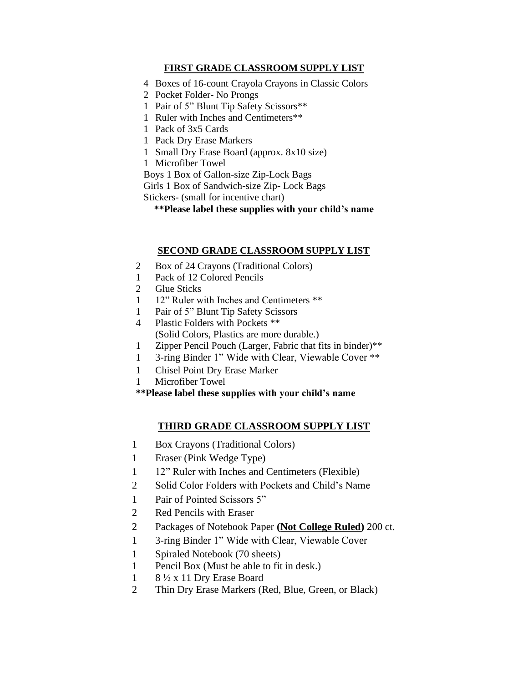## **FIRST GRADE CLASSROOM SUPPLY LIST**

- 4 Boxes of 16-count Crayola Crayons in Classic Colors
- 2 Pocket Folder- No Prongs
- 1 Pair of 5" Blunt Tip Safety Scissors\*\*
- 1 Ruler with Inches and Centimeters\*\*
- 1 Pack of 3x5 Cards
- 1 Pack Dry Erase Markers
- 1 Small Dry Erase Board (approx. 8x10 size)
- 1 Microfiber Towel

Boys 1 Box of Gallon-size Zip-Lock Bags

Girls 1 Box of Sandwich-size Zip- Lock Bags

Stickers- (small for incentive chart)

**\*\*Please label these supplies with your child's name**

### **SECOND GRADE CLASSROOM SUPPLY LIST**

- 2 Box of 24 Crayons (Traditional Colors)
- 1 Pack of 12 Colored Pencils
- 2 Glue Sticks
- 1 12" Ruler with Inches and Centimeters \*\*
- 1 Pair of 5" Blunt Tip Safety Scissors
- 4 Plastic Folders with Pockets \*\* (Solid Colors, Plastics are more durable.)
- 1 Zipper Pencil Pouch (Larger, Fabric that fits in binder)\*\*
- 1 3-ring Binder 1" Wide with Clear, Viewable Cover \*\*
- 1 Chisel Point Dry Erase Marker
- 1 Microfiber Towel

**\*\*Please label these supplies with your child's name**

# **THIRD GRADE CLASSROOM SUPPLY LIST**

- 1 Box Crayons (Traditional Colors)
- 1 Eraser (Pink Wedge Type)
- 1 12" Ruler with Inches and Centimeters (Flexible)
- 2 Solid Color Folders with Pockets and Child's Name
- 1 Pair of Pointed Scissors 5"
- 2 Red Pencils with Eraser
- 2 Packages of Notebook Paper **(Not College Ruled)** 200 ct.
- 1 3-ring Binder 1" Wide with Clear, Viewable Cover
- 1 Spiraled Notebook (70 sheets)
- 1 Pencil Box (Must be able to fit in desk.)
- 1 8 ½ x 11 Dry Erase Board
- 2 Thin Dry Erase Markers (Red, Blue, Green, or Black)